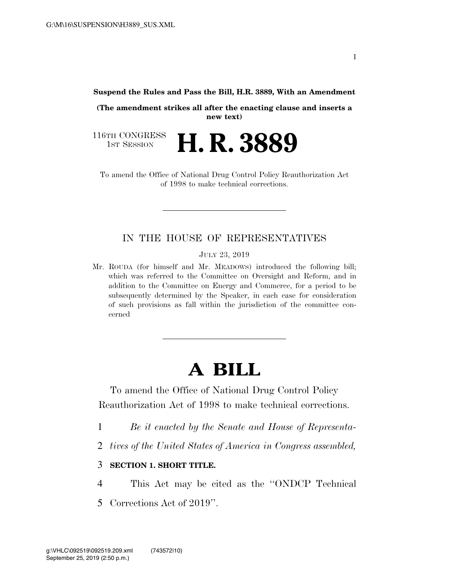**Suspend the Rules and Pass the Bill, H.R. 3889, With an Amendment** 

**(The amendment strikes all after the enacting clause and inserts a new text)** 

116TH CONGRESS<br>1st Session H. R. 3889

To amend the Office of National Drug Control Policy Reauthorization Act of 1998 to make technical corrections.

## IN THE HOUSE OF REPRESENTATIVES

JULY 23, 2019

Mr. ROUDA (for himself and Mr. MEADOWS) introduced the following bill; which was referred to the Committee on Oversight and Reform, and in addition to the Committee on Energy and Commerce, for a period to be subsequently determined by the Speaker, in each case for consideration of such provisions as fall within the jurisdiction of the committee concerned

## **A BILL**

To amend the Office of National Drug Control Policy Reauthorization Act of 1998 to make technical corrections.

- 1 *Be it enacted by the Senate and House of Representa-*
- 2 *tives of the United States of America in Congress assembled,*

## 3 **SECTION 1. SHORT TITLE.**

4 This Act may be cited as the ''ONDCP Technical 5 Corrections Act of 2019''.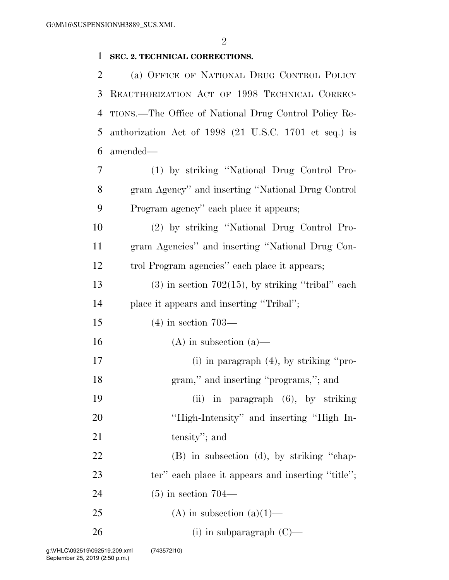## 1 **SEC. 2. TECHNICAL CORRECTIONS.**

 (a) OFFICE OF NATIONAL DRUG CONTROL POLICY REAUTHORIZATION ACT OF 1998 TECHNICAL CORREC- TIONS.—The Office of National Drug Control Policy Re- authorization Act of 1998 (21 U.S.C. 1701 et seq.) is amended—

7 (1) by striking ''National Drug Control Pro-8 gram Agency'' and inserting ''National Drug Control 9 Program agency'' each place it appears;

10 (2) by striking ''National Drug Control Pro-11 gram Agencies'' and inserting ''National Drug Con-12 trol Program agencies'' each place it appears;

13 (3) in section 702(15), by striking "tribal" each 14 place it appears and inserting ''Tribal'';

15 (4) in section 703—

16 (A) in subsection  $(a)$ —

17 (i) in paragraph (4), by striking "pro-18 gram,'' and inserting ''programs,''; and 19 (ii) in paragraph (6), by striking

20 ''High-Intensity'' and inserting ''High In-21 tensity''; and

22 (B) in subsection (d), by striking "chap-23 ter'' each place it appears and inserting "title";

24 (5) in section 704—

25 (A) in subsection  $(a)(1)$ —

26 (i) in subparagraph  $(C)$ —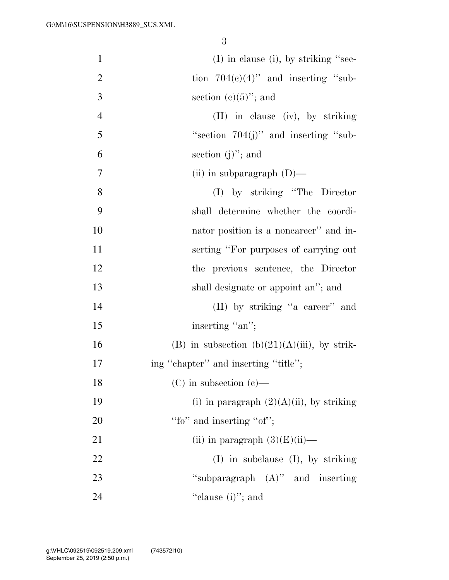| $\mathbf{1}$   | $(I)$ in clause (i), by striking "sec-           |
|----------------|--------------------------------------------------|
| $\overline{2}$ | tion $704(c)(4)$ " and inserting "sub-           |
| 3              | section $(e)(5)$ "; and                          |
| $\overline{4}$ | $(II)$ in clause $(iv)$ , by striking            |
| 5              | "section $704(j)$ " and inserting "sub-          |
| 6              | section $(j)$ "; and                             |
| 7              | (ii) in subparagraph $(D)$ —                     |
| 8              | (I) by striking "The Director"                   |
| 9              | shall determine whether the coordi-              |
| 10             | nator position is a noncareer" and in-           |
| 11             | serting "For purposes of carrying out            |
| 12             | the previous sentence, the Director              |
| 13             | shall designate or appoint an"; and              |
| 14             | (II) by striking "a career" and                  |
| 15             | inserting "an";                                  |
| 16             | (B) in subsection (b) $(21)(A)(iii)$ , by strik- |
| 17             | ing "chapter" and inserting "title";             |
| 18             | $(C)$ in subsection $(e)$ —                      |
| 19             | (i) in paragraph $(2)(A)(ii)$ , by striking      |
| 20             | "fo" and inserting "of";                         |
| 21             | (ii) in paragraph $(3)(E)(ii)$ —                 |
| 22             | $(I)$ in subclause $(I)$ , by striking           |
| 23             | "subparagraph $(A)$ " and inserting              |
| 24             | "clause $(i)$ "; and                             |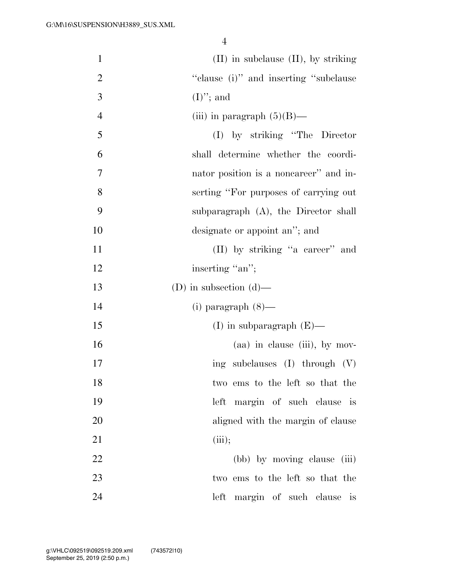| $\mathbf{1}$   | $(II)$ in subclause $(II)$ , by striking        |
|----------------|-------------------------------------------------|
| $\overline{2}$ | "clause (i)" and inserting "subclause"          |
| 3              | $(I)$ "; and                                    |
| $\overline{4}$ | (iii) in paragraph $(5)(B)$ —                   |
| 5              | $(I)$ by striking "The Director"                |
| 6              | shall determine whether the coordi-             |
| $\tau$         | nator position is a noncareer" and in-          |
| 8              | serting "For purposes of carrying out           |
| 9              | subparagraph $(A)$ , the Director shall         |
| 10             | designate or appoint an"; and                   |
| 11             | (II) by striking "a career" and                 |
| 12             | inserting "an";                                 |
| 13             | (D) in subsection $(d)$ —                       |
| 14             | $(i)$ paragraph $(8)$ —                         |
| 15             | (I) in subparagraph $(E)$ —                     |
| 16             | (aa) in clause (iii), by mov-                   |
| 17             | subclauses $(I)$ through $(V)$<br>ing           |
| 18             | two ems to the left so that the                 |
| 19             | left margin of such clause is                   |
| 20             | aligned with the margin of clause               |
| 21             | (iii);                                          |
| 22             | (bb) by moving clause (iii)                     |
| 23             | two ems to the left so that the                 |
| 24             | left<br>margin of such clause<br>$\overline{1}$ |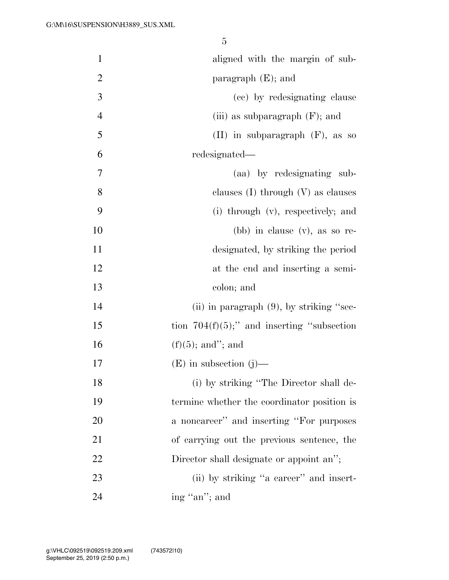| $\mathbf{1}$   | aligned with the margin of sub-                |
|----------------|------------------------------------------------|
| $\overline{2}$ | paragraph $(E)$ ; and                          |
| 3              | (cc) by redesignating clause                   |
| $\overline{4}$ | (iii) as subparagraph $(F)$ ; and              |
| 5              | $(II)$ in subparagraph $(F)$ , as so           |
| 6              | redesignated—                                  |
| $\overline{7}$ | (aa) by redesignating sub-                     |
| 8              | clauses $(I)$ through $(V)$ as clauses         |
| 9              | (i) through (v), respectively; and             |
| 10             | $(bb)$ in clause $(v)$ , as so re-             |
| 11             | designated, by striking the period             |
| 12             | at the end and inserting a semi-               |
| 13             | colon; and                                     |
| 14             | (ii) in paragraph $(9)$ , by striking "sec-    |
| 15             | tion $704(f)(5)$ ;" and inserting "subsection" |
| 16             | $(f)(5)$ ; and"; and                           |
| 17             | $(E)$ in subsection $(j)$ —                    |
| 18             | (i) by striking "The Director shall de-        |
| 19             | termine whether the coordinator position is    |
| 20             | a noncareer" and inserting "For purposes       |
| 21             | of carrying out the previous sentence, the     |
| 22             | Director shall designate or appoint an";       |
| 23             | (ii) by striking "a career" and insert-        |
| 24             | ing "an"; and                                  |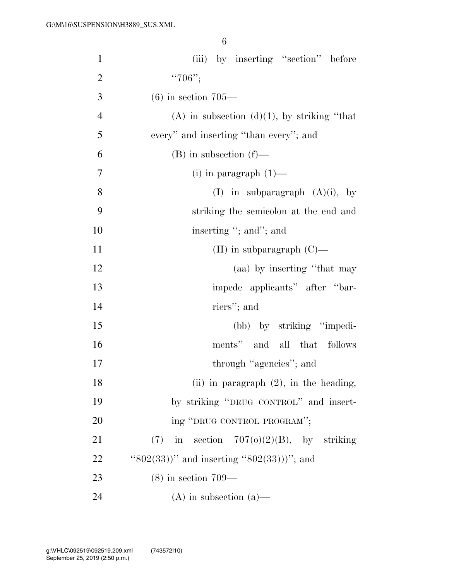| $\mathbf{1}$   | (iii) by inserting "section" before            |
|----------------|------------------------------------------------|
| $\overline{2}$ | " $706$ ";                                     |
| 3              | $(6)$ in section 705—                          |
| $\overline{4}$ | (A) in subsection $(d)(1)$ , by striking "that |
| 5              | every" and inserting "than every"; and         |
| 6              | $(B)$ in subsection $(f)$ —                    |
| 7              | $(i)$ in paragraph $(1)$ —                     |
| 8              | (I) in subparagraph $(A)(i)$ , by              |
| 9              | striking the semicolon at the end and          |
| 10             | inserting "; and"; and                         |
| 11             | (II) in subparagraph $(C)$ —                   |
| 12             | (aa) by inserting "that may                    |
| 13             | impede applicants" after "bar-                 |
| 14             | riers"; and                                    |
| 15             | (bb) by striking "impedi-                      |
| 16             | ments" and all that follows                    |
| 17             | through "agencies"; and                        |
| 18             | (ii) in paragraph $(2)$ , in the heading,      |
| 19             | by striking "DRUG CONTROL" and insert-         |
| 20             | ing "DRUG CONTROL PROGRAM";                    |
| 21             | in section $707(0)(2)(B)$ , by striking<br>(7) |
| 22             | " $802(33)$ " and inserting " $802(33)$ "; and |
| 23             | $(8)$ in section 709—                          |
| 24             | $(A)$ in subsection $(a)$ —                    |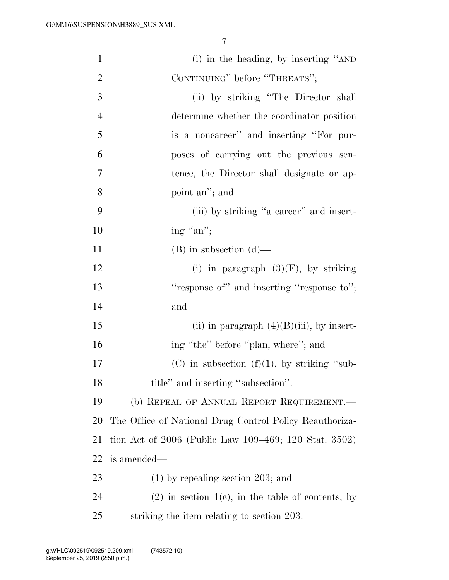| $\mathbf{1}$   | (i) in the heading, by inserting "AND                   |
|----------------|---------------------------------------------------------|
| 2              | CONTINUING" before "THREATS";                           |
| 3              | (ii) by striking "The Director shall                    |
| $\overline{4}$ | determine whether the coordinator position              |
| 5              | is a noncareer" and inserting "For pur-                 |
| 6              | poses of carrying out the previous sen-                 |
| 7              | tence, the Director shall designate or ap-              |
| 8              | point an"; and                                          |
| 9              | (iii) by striking "a career" and insert-                |
| 10             | ing "an";                                               |
| 11             | $(B)$ in subsection $(d)$ —                             |
| 12             | (i) in paragraph $(3)(F)$ , by striking                 |
| 13             | "response of" and inserting "response to";              |
| 14             | and                                                     |
| 15             | (ii) in paragraph $(4)(B)(iii)$ , by insert-            |
| 16             | ing "the" before "plan, where"; and                     |
| 17             | (C) in subsection $(f)(1)$ , by striking "sub-          |
| 18             | title" and inserting "subsection".                      |
| 19             | (b) REPEAL OF ANNUAL REPORT REQUIREMENT.—               |
| 20             | The Office of National Drug Control Policy Reauthoriza- |
| 21             | tion Act of 2006 (Public Law 109–469; 120 Stat. 3502)   |
| 22             | is amended—                                             |
| 23             | $(1)$ by repealing section 203; and                     |
| 24             | $(2)$ in section 1(c), in the table of contents, by     |
| 25             | striking the item relating to section 203.              |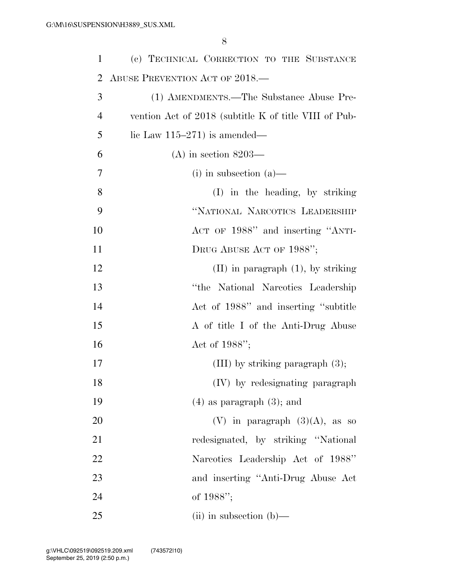| 1              | (c) TECHNICAL CORRECTION TO THE SUBSTANCE             |
|----------------|-------------------------------------------------------|
| 2              | ABUSE PREVENTION ACT OF 2018.—                        |
| 3              | (1) AMENDMENTS.—The Substance Abuse Pre-              |
| $\overline{4}$ | vention Act of 2018 (subtitle K of title VIII of Pub- |
| 5              | lic Law $115-271$ ) is amended—                       |
| 6              | $(A)$ in section 8203—                                |
| 7              | $(i)$ in subsection $(a)$ —                           |
| 8              | (I) in the heading, by striking                       |
| 9              | "NATIONAL NARCOTICS LEADERSHIP                        |
| 10             | ACT OF 1988" and inserting "ANTI-                     |
| 11             | DRUG ABUSE ACT OF 1988";                              |
| 12             | $(II)$ in paragraph $(1)$ , by striking               |
| 13             | "the National Narcotics Leadership"                   |
| 14             | Act of 1988" and inserting "subtitle"                 |
| 15             | A of title I of the Anti-Drug Abuse                   |
| 16             | Act of $1988$ ";                                      |
| 17             | $(III)$ by striking paragraph $(3)$ ;                 |
| 18             | (IV) by redesignating paragraph                       |
| 19             | $(4)$ as paragraph $(3)$ ; and                        |
| 20             | (V) in paragraph $(3)(A)$ , as so                     |
| 21             | redesignated, by striking "National"                  |
| 22             | Narcotics Leadership Act of 1988"                     |
| 23             | and inserting "Anti-Drug Abuse Act                    |
| 24             | of 1988";                                             |
| 25             | $(ii)$ in subsection $(b)$ —                          |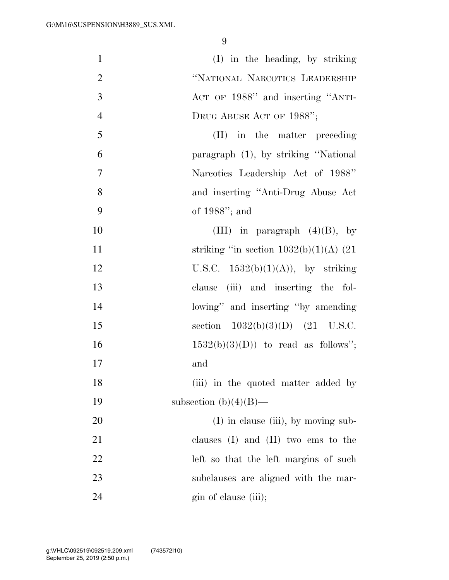| $\mathbf{1}$   | (I) in the heading, by striking           |
|----------------|-------------------------------------------|
| $\overline{2}$ | "NATIONAL NARCOTICS LEADERSHIP            |
| 3              | ACT OF 1988" and inserting "ANTI-         |
| $\overline{4}$ | DRUG ABUSE ACT OF 1988";                  |
| 5              | (II) in the matter preceding              |
| 6              | paragraph (1), by striking "National      |
| $\overline{7}$ | Narcotics Leadership Act of 1988"         |
| 8              | and inserting "Anti-Drug Abuse Act        |
| 9              | of $1988$ "; and                          |
| 10             | (III) in paragraph $(4)(B)$ , by          |
| 11             | striking "in section $1032(b)(1)(A)$ (21) |
| 12             | U.S.C. $1532(b)(1)(A)$ , by striking      |
| 13             | clause (iii) and inserting the fol-       |
| 14             | lowing" and inserting "by amending        |
| 15             | section $1032(b)(3)(D)$ (21 U.S.C.        |
| 16             | $1532(b)(3)(D)$ to read as follows";      |
| 17             | and                                       |
| 18             | (iii) in the quoted matter added by       |
| 19             | subsection $(b)(4)(B)$ —                  |
| 20             | $(I)$ in clause (iii), by moving sub-     |
| 21             | clauses $(I)$ and $(II)$ two ems to the   |
| 22             | left so that the left margins of such     |
| 23             | subclauses are aligned with the mar-      |
| 24             | gin of clause (iii);                      |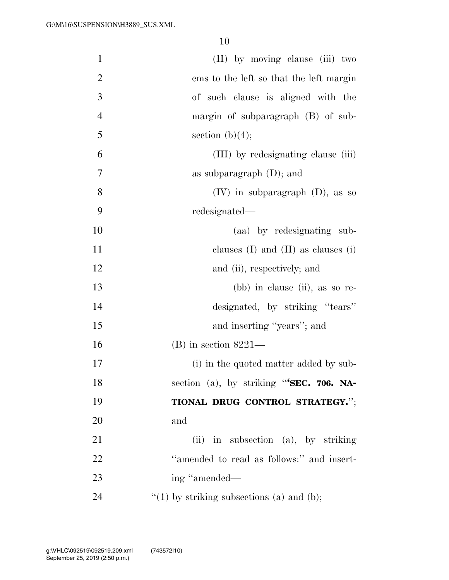| $\mathbf{1}$   | (II) by moving clause (iii) two              |
|----------------|----------------------------------------------|
| $\overline{2}$ | ems to the left so that the left margin      |
| $\mathfrak{Z}$ | of such clause is aligned with the           |
| $\overline{4}$ | margin of subparagraph (B) of sub-           |
| 5              | section $(b)(4);$                            |
| 6              | (III) by redesignating clause (iii)          |
| 7              | as subparagraph $(D)$ ; and                  |
| 8              | $(IV)$ in subparagraph $(D)$ , as so         |
| 9              | redesignated—                                |
| 10             | (aa) by redesignating sub-                   |
| 11             | clauses $(I)$ and $(II)$ as clauses $(i)$    |
| 12             | and (ii), respectively; and                  |
| 13             | $(bb)$ in clause (ii), as so re-             |
| 14             | designated, by striking "tears"              |
| 15             | and inserting "years"; and                   |
| 16             | $(B)$ in section 8221—                       |
| 17             | (i) in the quoted matter added by sub-       |
| 18             | section (a), by striking "SEC. 706. NA-      |
| 19             | TIONAL DRUG CONTROL STRATEGY.";              |
| 20             | and                                          |
| 21             | (ii) in subsection (a), by striking          |
| 22             | "amended to read as follows:" and insert-    |
| 23             | ing "amended—                                |
| 24             | $f'(1)$ by striking subsections (a) and (b); |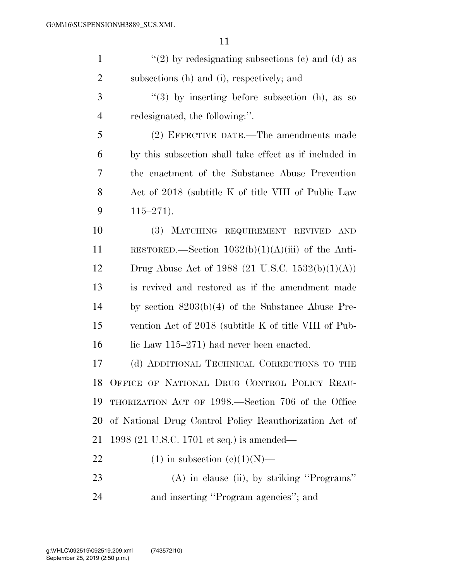| $\mathbf{1}$   | $\lq(2)$ by redesignating subsections (c) and (d) as   |
|----------------|--------------------------------------------------------|
| $\overline{2}$ | subsections (h) and (i), respectively; and             |
| 3              | $\lq(3)$ by inserting before subsection (h), as so     |
| $\overline{4}$ | redesignated, the following:".                         |
| 5              | (2) EFFECTIVE DATE.—The amendments made                |
| 6              | by this subsection shall take effect as if included in |
| 7              | the enactment of the Substance Abuse Prevention        |
| 8              | Act of 2018 (subtitle K of title VIII of Public Law    |
| 9              | $115 - 271$ .                                          |
| 10             | (3) MATCHING REQUIREMENT REVIVED<br><b>AND</b>         |
| <sup>11</sup>  | RESTORED.—Section $1032(b)(1)(A)(iii)$ of the Anti-    |
| 12             | Drug Abuse Act of 1988 (21 U.S.C. 1532(b)(1)(A))       |
| 13             | is revived and restored as if the amendment made       |
| 14             | by section $8203(b)(4)$ of the Substance Abuse Pre-    |
| 15             | vention Act of 2018 (subtitle K of title VIII of Pub-  |
| 16             | lic Law $115-271$ had never been enacted.              |
| 17             | (d) ADDITIONAL TECHNICAL CORRECTIONS TO THE            |
| 18             | OFFICE OF NATIONAL DRUG CONTROL POLICY REAU-           |
| 19             | THORIZATION ACT OF 1998.—Section 706 of the Office     |
| 20             | of National Drug Control Policy Reauthorization Act of |
| 21             | 1998 (21 U.S.C. 1701 et seq.) is amended—              |
| 22             | $(1)$ in subsection $(e)(1)(N)$ —                      |
| 23             | $(A)$ in clause (ii), by striking "Programs"           |
| 24             | and inserting "Program agencies"; and                  |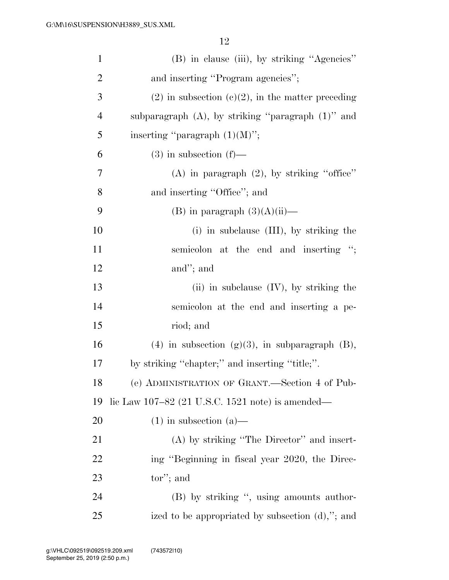| $\mathbf{1}$   | (B) in clause (iii), by striking "Agencies"             |
|----------------|---------------------------------------------------------|
| $\overline{2}$ | and inserting "Program agencies";                       |
| 3              | $(2)$ in subsection $(e)(2)$ , in the matter preceding  |
| $\overline{4}$ | subparagraph $(A)$ , by striking "paragraph $(1)$ " and |
| 5              | inserting "paragraph $(1)(M)$ ";                        |
| 6              | $(3)$ in subsection $(f)$ —                             |
| 7              | (A) in paragraph $(2)$ , by striking "office"           |
| 8              | and inserting "Office"; and                             |
| 9              | (B) in paragraph $(3)(A)(ii)$ —                         |
| 10             | (i) in subclause (III), by striking the                 |
| 11             | semicolon at the end and inserting ";                   |
| 12             | and"; and                                               |
| 13             | (ii) in subclause $(IV)$ , by striking the              |
| 14             | semicolon at the end and inserting a pe-                |
| 15             | riod; and                                               |
| 16             | $(4)$ in subsection $(g)(3)$ , in subparagraph $(B)$ ,  |
| 17             | by striking "chapter;" and inserting "title;".          |
| 18             | (e) ADMINISTRATION OF GRANT.—Section 4 of Pub-          |
| 19             | lic Law 107–82 (21 U.S.C. 1521 note) is amended—        |
| 20             | $(1)$ in subsection $(a)$ —                             |
| 21             | $(A)$ by striking "The Director" and insert-            |
| 22             | ing "Beginning in fiscal year 2020, the Direc-          |
| 23             | tor'; and                                               |
| 24             | (B) by striking ", using amounts author-                |
| 25             | ized to be appropriated by subsection $(d)$ ,"; and     |